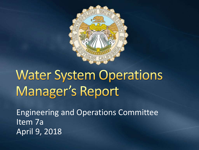

# **Water System Operations** Manager's Report

Engineering and Operations Committee Item 7a April 9, 2018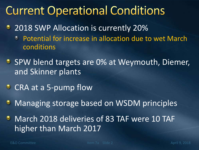#### **Current Operational Conditions**

- **2018 SWP Allocation is currently 20%** 
	- Potential for increase in allocation due to wet March  $\bullet$ conditions
- SPW blend targets are 0% at Weymouth, Diemer, and Skinner plants
- CRA at a 5-pump flow
- **Managing storage based on WSDM principles**

**• March 2018 deliveries of 83 TAF were 10 TAF** higher than March 2017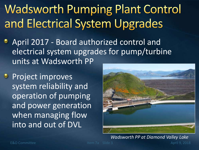## **Wadsworth Pumping Plant Control** and Electrical System Upgrades

- April 2017 Board authorized control and electrical system upgrades for pump/turbine units at Wadsworth PP
- **Project improves** system reliability and operation of pumping and power generation when managing flow into and out of DVL



E&O Committee The Item 7a Slide 3 April 9, 2018 *Wadsworth PP at Diamond Valley Lake*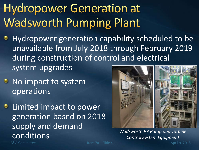### **Hydropower Generation at Wadsworth Pumping Plant**

- Hydropower generation capability scheduled to be unavailable from July 2018 through February 2019 during construction of control and electrical system upgrades
- **No impact to system** operations
- **C** Limited impact to power generation based on 2018 supply and demand conditions



*Wadsworth PP Pump and Turbine Control System Equipment*

E&O Committee Item 7a Slide 4 April 9, 2018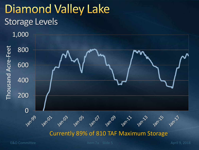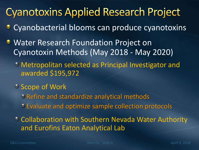#### **Cyanotoxins Applied Research Project**

- **Cyanobacterial blooms can produce cyanotoxins**
- **Water Research Foundation Project on** Cyanotoxin Methods (May 2018 - May 2020)
	- Metropolitan selected as Principal Investigator and awarded \$195,972
	- Scope of Work
		- Refine and standardize analytical methods
		- Evaluate and optimize sample collection protocols
	- Collaboration with Southern Nevada Water Authority and Eurofins Eaton Analytical Lab